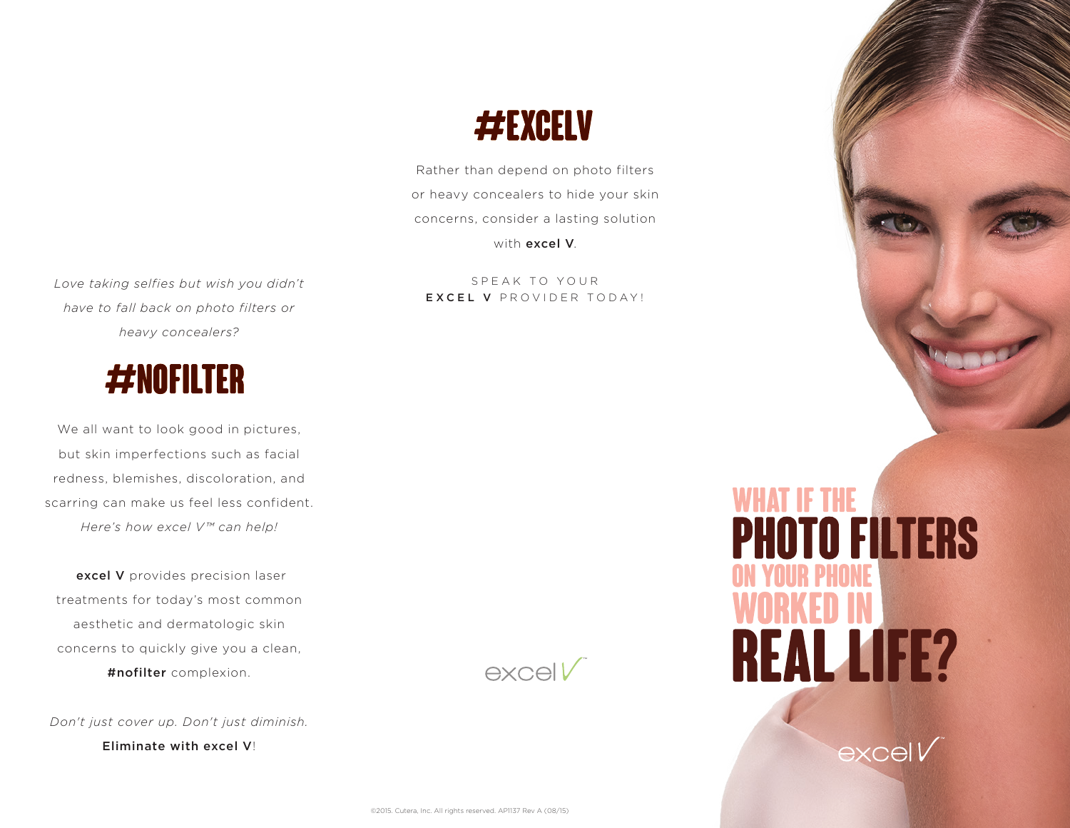

WHAT IF THE<br>**PHOTO FILTERS** 

**REAL LIFE?** 

 $exceV$ 

# #EXCELV

Rather than depend on photo filters or heavy concealers to hide your skin concerns, consider a lasting solution with excel V.

SPEAK TO YOUR EXCEL V PROVIDER TODAY!

*Love taking selfies but wish you didn't have to fall back on photo filters or heavy concealers?* 



We all want to look good in pictures, but skin imperfections such as facial redness, blemishes, discoloration, and scarring can make us feel less confident. *Here's how excel V™ can help!*

excel V provides precision laser treatments for today's most common aesthetic and dermatologic skin concerns to quickly give you a clean, #nofilter complexion.

*Don't just cover up. Don't just diminish.* 

Eliminate with excel V!